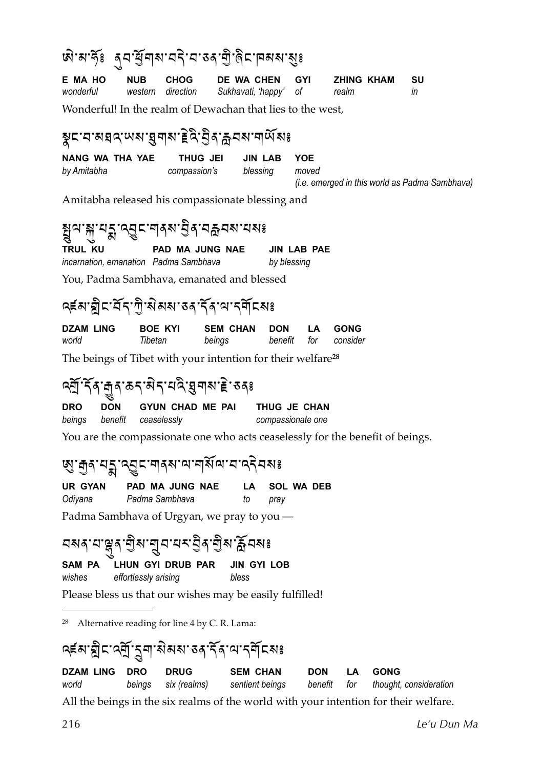<span id="page-0-0"></span>

| জি'ন'ৰ্দৃঃ ৰ্ম'ৰ্শ্ৰিশম'ন্নি'ন'কৰ'ল্ৰী'ৰ্মাদনম'মুঃ                                            |                           |                                        |                           |                                    |                       |                            |             |                                                |
|-----------------------------------------------------------------------------------------------|---------------------------|----------------------------------------|---------------------------|------------------------------------|-----------------------|----------------------------|-------------|------------------------------------------------|
| E MA HO<br>wonderful                                                                          | <b>NUB</b><br>western     | <b>CHOG</b><br>direction               | DE WA CHEN                | Sukhavati, 'happy'                 | <b>GYI</b><br>оf      | <b>ZHING KHAM</b><br>realm |             | <b>SU</b><br>in                                |
| Wonderful! In the realm of Dewachan that lies to the west,                                    |                           |                                        |                           |                                    |                       |                            |             |                                                |
| ৡঢ়੶য়য়য়ঀ৾৾৻৸য়৾য়৸৸ড়ৢঢ়৻ড়ৢঀ৾ৼঀ৸ৼ৸৸৻৸ৼ                                                    |                           |                                        |                           |                                    |                       |                            |             |                                                |
| <b>NANG WA THA YAE</b><br>by Amitabha                                                         |                           | THUG JEI<br>compassion's               |                           | <b>JIN LAB</b><br>blessing         | <b>YOE</b><br>moved   |                            |             | (i.e. emerged in this world as Padma Sambhava) |
| Amitabha released his compassionate blessing and                                              |                           |                                        |                           |                                    |                       |                            |             |                                                |
| สุขาสุ ยุรู ครู เขาสุขาธิรายลอย ยุงร                                                          |                           |                                        |                           |                                    |                       |                            |             |                                                |
| TRUL KU<br>incarnation, emanation Padma Sambhava<br>You, Padma Sambhava, emanated and blessed |                           | PAD MA JUNG NAE                        |                           | <b>JIN LAB PAE</b><br>by blessing  |                       |                            |             |                                                |
|                                                                                               |                           |                                        |                           |                                    |                       |                            |             |                                                |
| <b>จะมาฎิธาวัร</b> ทินมีสม 34 วัง นารศัธละ                                                    |                           |                                        |                           |                                    |                       |                            |             |                                                |
| <b>DZAM LING</b><br>world                                                                     | <b>BOE KYI</b><br>Tibetan |                                        | <b>SEM CHAN</b><br>beings | <b>DON</b><br>benefit              | LA<br>for             | <b>GONG</b><br>consider    |             |                                                |
| The beings of Tibet with your intention for their welfare <sup>28</sup>                       |                           |                                        |                           |                                    |                       |                            |             |                                                |
|                                                                                               |                           |                                        |                           |                                    |                       |                            |             |                                                |
| <b>DON</b><br><b>DRO</b><br>beings<br>benefit                                                 |                           | <b>GYUN CHAD ME PAI</b><br>ceaselessly |                           | compassionate one                  | THUG JE CHAN          |                            |             |                                                |
| You are the compassionate one who acts ceaselessly for the benefit of beings.                 |                           |                                        |                           |                                    |                       |                            |             |                                                |
| <b>छु: कुदायङ्काल्युदानद्यालयानाशिलामा दिनिहा</b>                                             |                           |                                        |                           |                                    |                       |                            |             |                                                |
| <b>UR GYAN</b><br>Odiyana                                                                     |                           | PAD MA JUNG NAE<br>Padma Sambhava      | LA.<br>to                 | pray                               | <b>SOL WA DEB</b>     |                            |             |                                                |
| Padma Sambhava of Urgyan, we pray to you —                                                    |                           |                                        |                           |                                    |                       |                            |             |                                                |
| <u>বমৰ্মস্তুৰ লীম লুব বৰ ইৰ লীম ক্লীবমঃ</u>                                                   |                           |                                        |                           |                                    |                       |                            |             |                                                |
| SAM PA<br>wishes                                                                              | effortlessly arising      | LHUN GYI DRUB PAR                      | bless                     | <b>JIN GYI LOB</b>                 |                       |                            |             |                                                |
| Please bless us that our wishes may be easily fulfilled!                                      |                           |                                        |                           |                                    |                       |                            |             |                                                |
| 28<br>Alternative reading for line 4 by C. R. Lama:                                           |                           |                                        |                           |                                    |                       |                            |             |                                                |
| <u>၎៩สาฎีธาลุฎี รู</u> ศาสมอง รง รัง พรศัธละ                                                  |                           |                                        |                           |                                    |                       |                            |             |                                                |
| <b>DZAM LING</b><br>world                                                                     | <b>DRO</b><br>beings      | <b>DRUG</b><br>six (realms)            |                           | <b>SEM CHAN</b><br>sentient beings | <b>DON</b><br>benefit | LA<br>for                  | <b>GONG</b> | thought, consideration                         |
| All the beings in the six realms of the world with your intention for their welfare.          |                           |                                        |                           |                                    |                       |                            |             |                                                |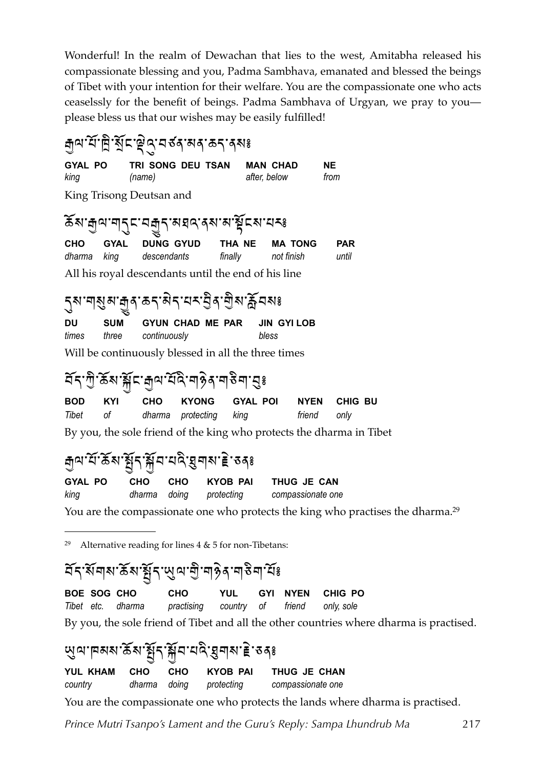Wonderful! In the realm of Dewachan that lies to the west, Amitabha released his compassionate blessing and you, Padma Sambhava, emanated and blessed the beings of Tibet with your intention for their welfare. You are the compassionate one who acts ceaselssly for the benefit of beings. Padma Sambhava of Urgyan, we pray to you please bless us that our wishes may be easily fulfilled!

<sub>নী</sub>ন'ৰ্ম'ন্নী শ্ৰীন'ষ্ট্ৰ'নৰ্বৰ কৰ'ৰ্মঃ TRI SONG DEU TSAN **MAN CHAD NE GYAL PO** king  $(name)$ after, below from King Trisong Deutsan and ๎ॾॴऻॷऀॴॴॎॗऀॾख़ॎॷॎख़ख़ख़ख़ख़ख़ख़ख़ CHO **GYAL DUNG GYUD** THA NE **MA TONG PAR** dharma kina descendants finally not finish until All his royal descendants until the end of his line <sub>ॱ</sub>ਗ਼য়ৢয়੶ਜ਼<sub>ৣ</sub>୶੶ਫ਼৲੶য়৲<sup>੶</sup>৸৲ৼ৾ঀৢ৾৾৽৻৾য়ৣ৾*য়৾ৼ*ঢ়৶ **DU SUM GYUN CHAD ME PAR JIN GYILOB** times three continuously bless Will be continuously blessed in all the three times ॱऀ॔॔ॺॱऀॺॕॣ**८ॱ**क़ऺ॒ॺॱऀय़॔ढ़ॆॱॺऻऄॖॺॱॺऻऄॺऻॱय़ॖॖਃ র্ব **GYAL POI BOD** KYI CHO **KYONG NYEN CHIG BU Tibet**  $\Omega$ dharma friend protecting kina only By you, the sole friend of the king who protects the dharma in Tibet <sub>ਜ਼ॖॕ</sub>ॺॱय़॔ॱढ़ॕॺॱ<u>ॷ</u>ॕॗॸॱॷॕॸॱय़ढ़ॆॱॺॖॖॺॺॱॾ॓ॱॸ<sub>ঀ</sub>ঃ **GYAL PO CHO** CHO THUG JE CAN **KYOB PAI** dharma doing king protecting compassionate one You are the compassionate one who protects the king who practises the dharma.<sup>29</sup> Alternative reading for lines  $4 \& 5$  for non-Tibetans: 29 <u>दॅन् सॅमास रुँस स्रैन सुल सो मार्कुन मार्डे मार्टि</u> इ CHO **YUL** CHIG PO

<span id="page-1-0"></span>**BOE SOG CHO GYI NYEN** friend Tibet etc. dharma practising country <sub>of</sub> only, sole By you, the sole friend of Tibet and all the other countries where dharma is practised.

ড়ৢ*ঀ*৽ঢ়য়য়৽ঌয়৽য়ৢৼৼড়ড়য়ৼঢ়ড়ড়ড়ড়ড়ড় **YUL KHAM CHO** CHO **KYOB PAI** THUG JE CHAN dharma doina country protecting compassionate one You are the compassionate one who protects the lands where dharma is practised.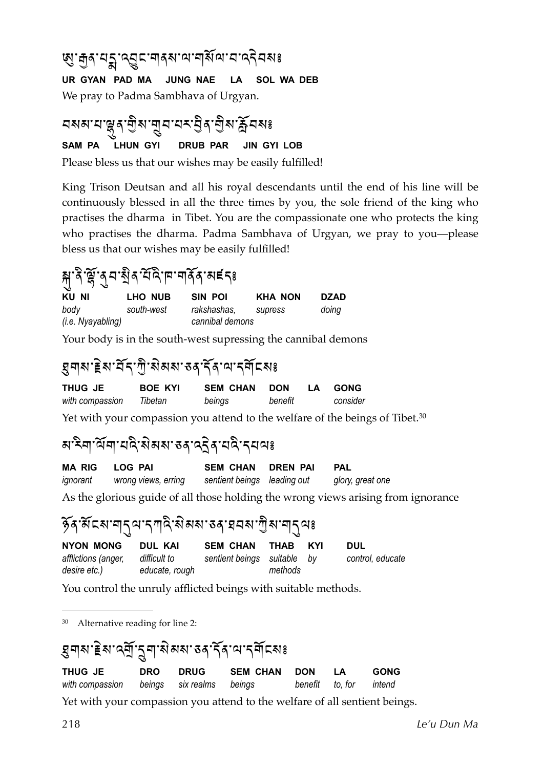#### **छु: तुद् यङ्गु द्व्यु द्वान् विष्ठा व्यायाद्य विष**

UR GYAN PAD MA JUNG NAE LA SOL WA DEB We pray to Padma Sambhava of Urgyan.

#### <mark>ଘ</mark>ଷଣ ସଂଞ୍ଜୁଣ୍ ଶ୍ରିଷ 'ଗ୍ରୁଘ'ସ×ଂସ୍ତିଣ୍ 'ଶ୍ରିଷ'ର୍ଲି ସଷଃ LHUN GYI SAM PA **DRUB PAR JIN GYI LOB**

Please bless us that our wishes may be easily fulfilled!

King Trison Deutsan and all his royal descendants until the end of his line will be continuously blessed in all the three times by you, the sole friend of the king who practises the dharma in Tibet. You are the compassionate one who protects the king who practises the dharma. Padma Sambhava of Urgyan, we pray to you—please bless us that our wishes may be easily fulfilled!

## <u>န</u>ှုန်မြို့နှံ့ရသည့် နည်းပြုပါး မြန်များ မြန်များ

KU NI **LHO NUB SIN POI KHA NON DZAD** body south-west rakshashas. supress doina (i.e. Nyayabling) cannibal demons

Your body is in the south-west supressing the cannibal demons

#### 

THUG JE **BOE KYI SEM CHAN DON** LA GONG benefit consider with compassion Tibetan beings

Yet with your compassion you attend to the welfare of the beings of Tibet.<sup>30</sup>

#### 

| MA RIG   | LOG PAI             | <b>SEM CHAN</b>             | DREN PAI | PAL              |  |
|----------|---------------------|-----------------------------|----------|------------------|--|
| ignorant | wrong views, erring | sentient beings leading out |          | glory, great one |  |
|          |                     |                             |          |                  |  |

As the glorious guide of all those holding the wrong views arising from ignorance

#### ৡ৾ঀ৾ৼৄ৻ৼ৸ৼৗ৾৴৸৻৴৸ড়ৢ৻ৼৢ৻৸৸৸৽৸৽৻৽ঀ৸ৼ৽৻৸৸৻৸৽

| NYON MONG           | DUL KAI        | <b>SEM CHAN</b>             | THAB    | <b>KYI</b> | DUL              |
|---------------------|----------------|-----------------------------|---------|------------|------------------|
| afflictions (anger, | difficult to   | sentient beings suitable by |         |            | control, educate |
| desire etc.)        | educate, rough |                             | methods |            |                  |

You control the unruly afflicted beings with suitable methods.

<span id="page-2-0"></span>Alternative reading for line 2: 30

| য়৸৸৳য়৽৻য়ৗৢৼৣ৸ৼ৾য়৸য়৽৻৽ঀ৾ৼৢ৻৸৻৸য়৾ঢ়ৼ৸৽                                 |            |  |               |                          |  |                       |  |  |
|----------------------------------------------------------------------------|------------|--|---------------|--------------------------|--|-----------------------|--|--|
| <b>THUG JE</b><br>with compassion beings six realms beings                 | <b>DRO</b> |  | DRUG SEM CHAN | DON LA<br>benefit to for |  | <b>GONG</b><br>intend |  |  |
| Yet with your compassion you attend to the welfare of all sentient beings. |            |  |               |                          |  |                       |  |  |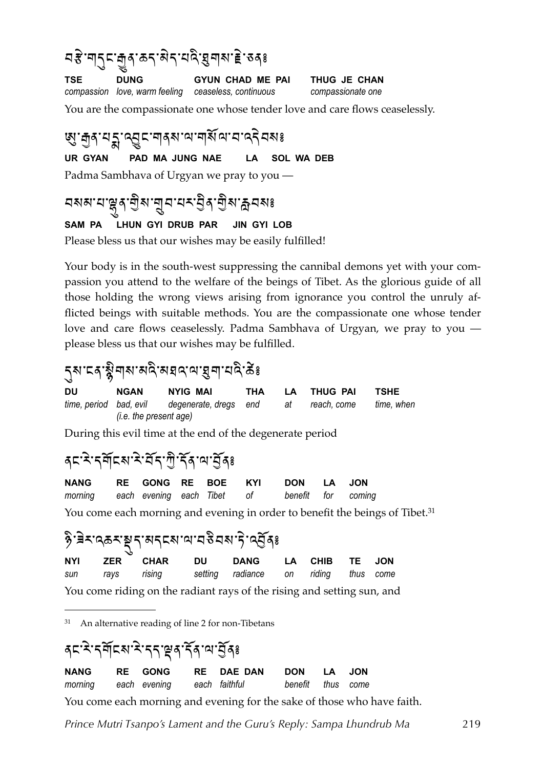ମ $\mathcal{S}$ 'ন|্ $\mathcal{S}$ ा मुंब $\mathcal{S}$ ' क $\mathcal{S}$ ' के $\mathcal{S}$ ' अबेह $\mathcal{S}$ **TSE DUNG GYUN CHAD ME PAI THUG JE CHAN** *compassion love, warm feeling ceaseless, continuous compassionate one* 

You are the compassionate one whose tender love and care flows ceaselessly.

छु : तुद् :यू : त्यू द् : वाद् अ : वाद् विद्यालय करने वस इ **UR GYAN PAD MA JUNG NAE LA SOL WA DEB** Padma Sambhava of Urgyan we pray to you —

### <u>বমম'য'ঙ্</u>লুৰ'শ্ৰীম'শ্ৰুব'যম'ষ্ট্ৰৰ'শ্ৰীম'ক্লবমঃ

#### **SAM PA LHUN GYI DRUB PAR JIN GYI LOB**

Please bless us that our wishes may be easily fulfilled!

Your body is in the south-west suppressing the cannibal demons yet with your compassion you attend to the welfare of the beings of Tibet. As the glorious guide of all those holding the wrong views arising from ignorance you control the unruly afflicted beings with suitable methods. You are the compassionate one whose tender love and care flows ceaselessly. Padma Sambhava of Urgyan, we pray to you please bless us that our wishes may be fulfilled.

### รุส : ธุ รัฐ <sub>ๆ</sub> ส : ส ส : ส ส : ส ร ส : ส ร ร ร ร

| DU | <b>NGAN</b>            | NYIG MAI                                     | THA | LA THUG PAI   | <b>TSHE</b> |
|----|------------------------|----------------------------------------------|-----|---------------|-------------|
|    |                        | time, period bad, evil degenerate, dregs end |     | at reach.come | time, when  |
|    | (i.e. the present age) |                                              |     |               |             |

During this evil time at the end of the degenerate period

#### สะ ริ: รุสัธราชิ ริส. 25 สุร

| NANG RE GONG RE BOE KYI DON LA JON                    |  |  |  |  |
|-------------------------------------------------------|--|--|--|--|
| morning each evening each Tibet of benefit for coming |  |  |  |  |

You come each morning and evening in order to benefit the beings of Tibet.<sup>31</sup>

### $\delta$ ้) สิราตุธราชธุรกรุง สิงหาร์ หรับ

| NYI                                                                    | ZER | CHAR            | DU – | <b>DANG</b>                          |  | LA CHIB TE JON |  |  |  |
|------------------------------------------------------------------------|-----|-----------------|------|--------------------------------------|--|----------------|--|--|--|
|                                                                        |     | sun rays rising |      | setting radiance on riding thus come |  |                |  |  |  |
| You come riding on the radiant rays of the rising and setting sun, and |     |                 |      |                                      |  |                |  |  |  |

<span id="page-3-0"></span><sup>31</sup> An alternative reading of line 2 for non-Tibetans

#### สะหิรสุตร์สุตร์สุตร์

| <b>NANG</b> | <b>RE</b> GONG | RE DAE DAN DON LA JON                                |  |                                                                         |
|-------------|----------------|------------------------------------------------------|--|-------------------------------------------------------------------------|
|             |                | morning each evening each faithful benefit thus come |  |                                                                         |
|             |                |                                                      |  | You come each morning and evening for the sake of those who have faith. |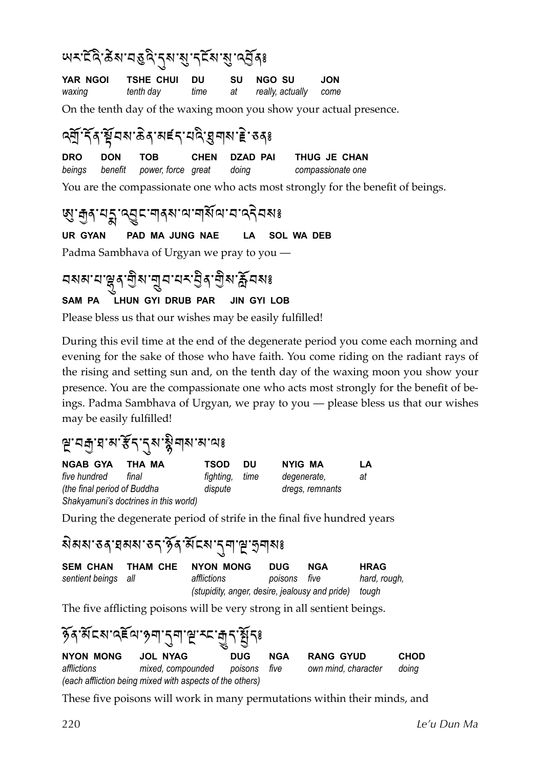#### พระศิริมารถิติ รุส สู สุรัส สู สุรัสะ

|        | YAR NGOI TSHE CHUI DU |      | SU NGO SU                | <b>JON</b> |
|--------|-----------------------|------|--------------------------|------------|
| waxing | tenth day             | time | at really, actually come |            |

On the tenth day of the waxing moon you show your actual presence.

#### <u>ดุสั</u>นส์ สิงหรับ สิงหรับ สิงหาร์ เชิงสุร

**DRO DON TOB CHEN DZAD PAI THUG JE CHAN** *beings benefit power, force great doing compassionate one*

You are the compassionate one who acts most strongly for the benefit of beings.

### छु : तुद् :यू द्भु द्दा नादवा भा नार्थ वा या वर्दे यहा इ

**UR GYAN PAD MA JUNG NAE LA SOL WA DEB**

Padma Sambhava of Urgyan we pray to you —

# <u>বমম'য'ঙ্লু</u>ৰ'শ্ৰীম'শ্ৰুব'মহ'ব্ৰীম'ৰ্ক্লবমঃ

#### **SAM PA LHUN GYI DRUB PAR JIN GYI LOB**

Please bless us that our wishes may be easily fulfilled!

During this evil time at the end of the degenerate period you come each morning and evening for the sake of those who have faith. You come riding on the radiant rays of the rising and setting sun and, on the tenth day of the waxing moon you show your presence. You are the compassionate one who acts most strongly for the benefit of beings. Padma Sambhava of Urgyan, we pray to you — please bless us that our wishes may be easily fulfilled!

#### $\beta$ 'ঘন্ৰায়'ম' $\widetilde{\mathcal{F}}$ ন্দ্ৰাম'মীওঃ

| <b>NGAB GYA</b>             | THA MA                                | <b>TSOD</b> | DU   | NYIG MA         | LA |
|-----------------------------|---------------------------------------|-------------|------|-----------------|----|
| five hundred                | final                                 | fighting,   | time | degenerate,     | at |
| (the final period of Buddha |                                       | dispute     |      | dregs, remnants |    |
|                             | Shakyamuni's doctrines in this world) |             |      |                 |    |

During the degenerate period of strife in the final five hundred years

#### ৰ্মমম'তৰ্' ঘৰুমা'ত ব্ৰ'ৰ্মান্ত মাণ্ড বিৰাপঃ

| SEM CHAN THAM CHE   | NYON MONG                                            | <b>DUG</b>   | <b>NGA</b> | <b>HRAG</b>  |
|---------------------|------------------------------------------------------|--------------|------------|--------------|
| sentient beings all | affilictions                                         | poisons five |            | hard, rough, |
|                     | (stupidity, anger, desire, jealousy and pride) tough |              |            |              |

The five afflicting poisons will be very strong in all sentient beings.

|                  | <u> क्रें</u> द्रशाद्रद्रा क्षण नुवास् रूप मुनार्थेन् ।  |            |            |                     |             |  |  |  |  |
|------------------|----------------------------------------------------------|------------|------------|---------------------|-------------|--|--|--|--|
| <b>NYON MONG</b> | JOL NYAG                                                 | <b>DUG</b> | <b>NGA</b> | <b>RANG GYUD</b>    | <b>CHOD</b> |  |  |  |  |
| afflictions      | mixed compounded poisons five                            |            |            | own mind, character | doing       |  |  |  |  |
|                  | (each affliction being mixed with aspects of the others) |            |            |                     |             |  |  |  |  |

These five poisons will work in many permutations within their minds, and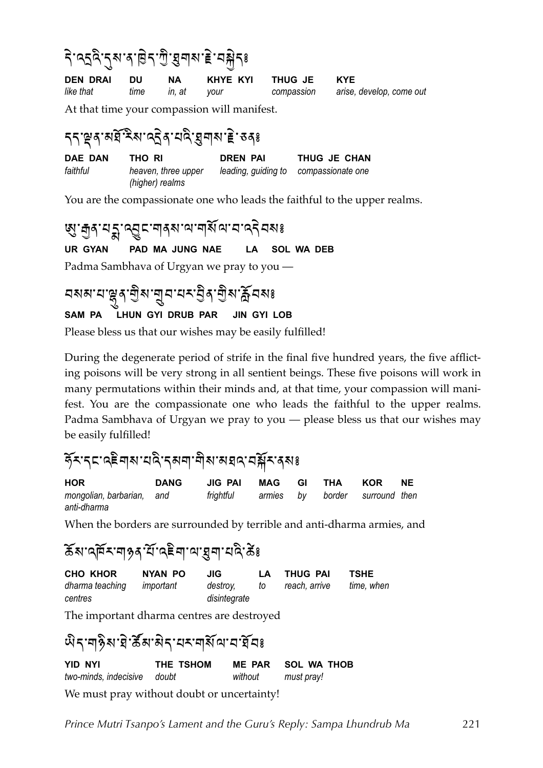### ริ : จรจิ : รุ ม : สิ : อิร : พิ : สิ : สิ : สิ ระ

**DEN DRAI DU NA KHYE KYI THUG JE KYE** *like that time in, at your compassion arise, develop, come out* 

At that time your compassion will manifest.

### ี่ 55 ๊ดู สาราติ : สุด สาราติ : สุด สาราติ : สุด สุด สาราติ สุด สิง สุด สิง สุด สิง สิง สิง สิง สิง สิง สิง สิ

**DAE DAN THO RI DREN PAI THUG JE CHAN** *faithful heaven, three upper leading, guiding to compassionate one (higher) realms*

You are the compassionate one who leads the faithful to the upper realms.

छु : तुद् :यू द्भु द्दा नादशः या नार्शिया वा वर्दे वरुः इ **UR GYAN PAD MA JUNG NAE LA SOL WA DEB** Padma Sambhava of Urgyan we pray to you —

#### <mark>এমম'ম'ঞ্</mark>লুম'নুম'মক্ট্ৰম'ৰ্টুম'ৰ্ক্লিমঙ্ক **SAM PA LHUN GYI DRUB PAR JIN GYI LOB**

Please bless us that our wishes may be easily fulfilled!

During the degenerate period of strife in the final five hundred years, the five afflicting poisons will be very strong in all sentient beings. These five poisons will work in many permutations within their minds and, at that time, your compassion will manifest. You are the compassionate one who leads the faithful to the upper realms. Padma Sambhava of Urgyan we pray to you — please bless us that our wishes may be easily fulfilled!

#### ์รั×รุธาละ สุพายดิรุษศาติมามรความีราง มะ

| <b>HOR</b>                | <b>DANG</b> | JIG PAI   | MAG GI | THA                            | KOR | <b>NE</b> |
|---------------------------|-------------|-----------|--------|--------------------------------|-----|-----------|
| mongolian, barbarian, and |             | frightful |        | armies by border surround-then |     |           |
| anti-dharma               |             |           |        |                                |     |           |

When the borders are surrounded by terrible and anti-dharma armies, and

#### <u>สัม</u>าสุศัยพรม สิงค์ : สุดินที่ สิงค์ สิงค์

| CHO KHOR                  | NYAN PO | JIG.         | LA. | THUG PAI      | TSHE       |
|---------------------------|---------|--------------|-----|---------------|------------|
| dharma teaching important |         | destroy,     | to  | reach, arrive | time. when |
| centres                   |         | disintegrate |     |               |            |

The important dharma centres are destroyed

#### พิราศุริมาสิราสราสุสัตวรัยสะ **YID NYI THE TSHOM ME PAR SOL WA THOB** *two-minds, indecisive doubt without must pray!*

We must pray without doubt or uncertainty!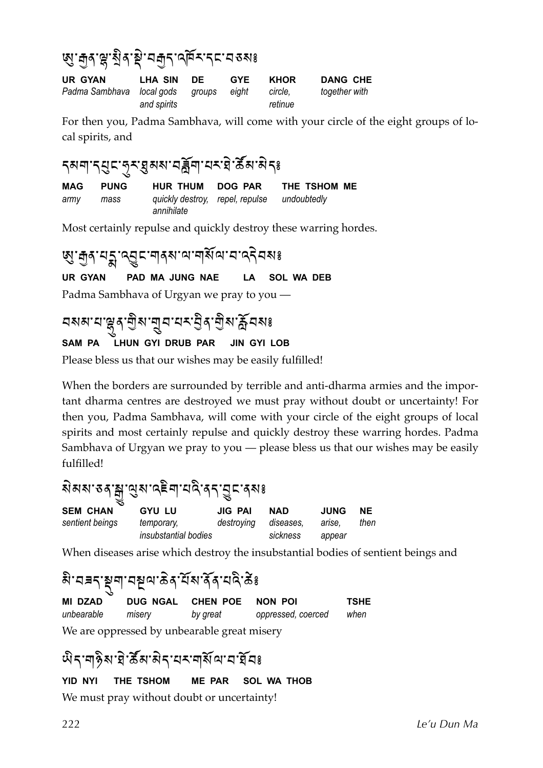#### **'ผู'สู**่สุ'สู่'สุ'สุ'สสุ<sub>ร</sub>าสุธารณะ

| UR GYAN                                | LHA SIN     | DE | <b>GYE</b> | KHOR    | <b>DANG CHE</b> |
|----------------------------------------|-------------|----|------------|---------|-----------------|
| Padma Sambhava local gods groups eight |             |    |            | circle. | together with   |
|                                        | and spirits |    |            | retinue |                 |

For then you, Padma Sambhava, will come with your circle of the eight groups of local spirits, and

#### รุสๆ รุยูธ รุ*ร*: ฮูสส ธุรัย สรริ ซึล สรุ

| MAG  | <b>PUNG</b> | <b>HUR THUM</b>                                           | DOG PAR | THE TSHOM ME |
|------|-------------|-----------------------------------------------------------|---------|--------------|
| armv | mass        | quickly destroy, repel, repulse undoubtedly<br>annihilate |         |              |

Most certainly repulse and quickly destroy these warring hordes.

छु : मुद् : यूड् - बाद् अ वा वार्य वा वा वा दिन का **UR GYAN PAD MA JUNG NAE LA SOL WA DEB** Padma Sambhava of Urgyan we pray to you —

## <u>নমম'ম'ঙ্</u>লুৰ'শ্ৰীম'শ্ৰুন'মন্ত্ৰীৰ'শ্ৰীম'ৰ্ক্লিনমঃ

#### **SAM PA LHUN GYI DRUB PAR JIN GYI LOB**

Please bless us that our wishes may be easily fulfilled!

When the borders are surrounded by terrible and anti-dharma armies and the important dharma centres are destroyed we must pray without doubt or uncertainty! For then you, Padma Sambhava, will come with your circle of the eight groups of local spirits and most certainly repulse and quickly destroy these warring hordes. Padma Sambhava of Urgyan we pray to you — please bless us that our wishes may be easily fulfilled!

### สิสสรรค์ สูงสรริยุ สุด สุด สุด

| <b>SEM CHAN</b> | <b>GYU LU</b>        | <b>JIG PAI</b>       | <b>NAD</b> | <b>JUNG</b> | <b>NE</b> |
|-----------------|----------------------|----------------------|------------|-------------|-----------|
| sentient beings | temporary,           | destroying diseases, |            | arise.      | then      |
|                 | insubstantial bodies |                      | sickness   | appear      |           |

When diseases arise which destroy the insubstantial bodies of sentient beings and

#### ลิ วรรุษุตฺ วรุษุตฺ อิง วัสง สัง วริะ

| MI DZAD    |        | DUG NGAL CHEN POE NON POI |                    | <b>TSHE</b> |
|------------|--------|---------------------------|--------------------|-------------|
| unbearable | misery | by great                  | oppressed, coerced | when        |
| $T + T$    |        |                           |                    |             |

We are oppressed by unbearable great misery

#### พิราๆชิม ยิ ซึม สิรายรายสัตวราชีย

#### **YID NYI THE TSHOM ME PAR SOL WA THOB**

We must pray without doubt or uncertainty!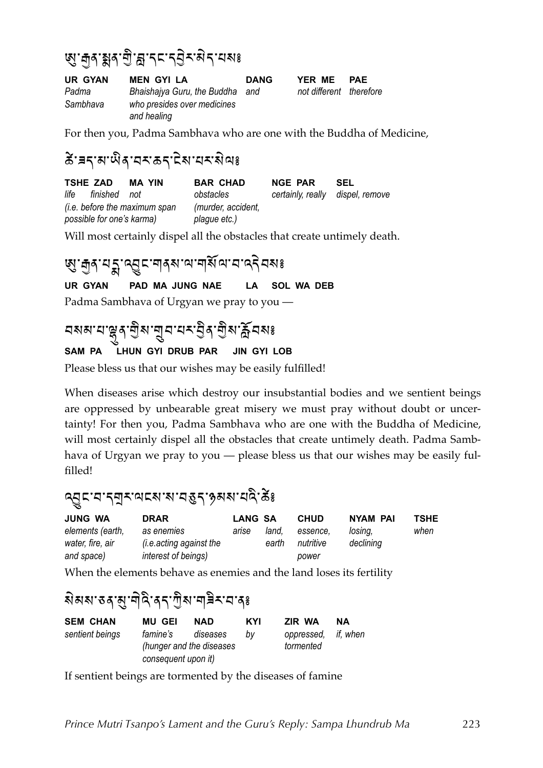## জ্'কুৰ'ষ্ক্ৰৰ'শ্ৰী'ব্ল'ব্<sup>ন</sup>ই'ৰাই'নেমঃ

**UR GYAN MEN GYI LA DANG YER ME PAE** Padma Bhaishajya Guru, the Buddha and not different therefore *Sambhava who presides over medicines and healing*

For then you, Padma Sambhava who are one with the Buddha of Medicine,

### $\delta$  สาราสาผิจ สาราสาราสาราสาร

**TSHE ZAD MA YIN BAR CHAD NGE PAR SEL** *life finished not obstacles certainly, really dispel, remove (i.e. before the maximum span (murder, accident, possible for one's karma) plague etc.)*

Will most certainly dispel all the obstacles that create untimely death.

#### . जुन यू : २ वु दा वन अप्यान से वाय देन यह

**UR GYAN PAD MA JUNG NAE LA SOL WA DEB**

Padma Sambhava of Urgyan we pray to you —

### মমন'ম'ঞ্জুৰ'শ্ৰীম'শ্ৰুম'ম্পেইমাঞ্জীম'ৰ্ক্লিমকাঃ

#### **SAM PA LHUN GYI DRUB PAR JIN GYI LOB**

Please bless us that our wishes may be easily fulfilled!

When diseases arise which destroy our insubstantial bodies and we sentient beings are oppressed by unbearable great misery we must pray without doubt or uncertainty! For then you, Padma Sambhava who are one with the Buddha of Medicine, will most certainly dispel all the obstacles that create untimely death. Padma Sambhava of Urgyan we pray to you — please bless us that our wishes may be easily fulfilled!

#### &ML;%)%'A:%\$;"%"%)]z'%x,"%E&4%6{`

| <b>JUNG WA</b>   | <b>DRAR</b>                    | <b>LANG SA</b> |       | <b>CHUD</b> | <b>NYAM PAI</b> | TSHE |
|------------------|--------------------------------|----------------|-------|-------------|-----------------|------|
| elements (earth, | as enemies                     | arıse          | land. | essence.    | losina.         | when |
| water, fire, air | <i>(i.e.acting against the</i> |                | earth | nutritive   | declining       |      |
| and space)       | interest of beings)            |                |       | power       |                 |      |

When the elements behave as enemies and the land loses its fertility

### สิสสรสุดี สุรุษัตราชิส สุร

| MU GEI   | <b>NAD</b> | KYI                                                         | ZIR WA    | NА                  |
|----------|------------|-------------------------------------------------------------|-----------|---------------------|
| famine's |            | hv                                                          | tormented |                     |
|          |            | diseases<br>(hunger and the diseases<br>consequent upon it) |           | oppressed, if, when |

If sentient beings are tormented by the diseases of famine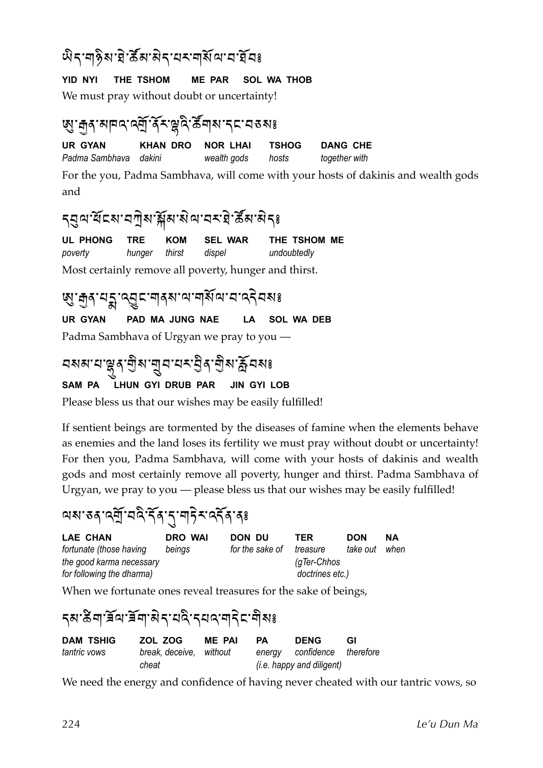#### พิราศุริมาสิราสราสุสัตวรัย

#### **YID NYI THE TSHOM ME PAR SOL WA THOB**

We must pray without doubt or uncertainty!

#### জ্য নৰ মানন নৰ্ম কৰা স্বাস কৰা জিলা স্বাস

**UR GYAN KHAN DRO NOR LHAI TSHOG DANG CHE**

*Padma Sambhava dakini wealth gods hosts together with*

For the you, Padma Sambhava, will come with your hosts of dakinis and wealth gods and

#### รุสูต ซีเมวทิม มีพามิต สรริ ซึมพิระ

**UL PHONG TRE KOM SEL WAR THE TSHOM ME** *poverty hunger thirst dispel undoubtedly* Most certainly remove all poverty, hunger and thirst.

### **छु: कुदायङ्का रुट्टिम् अनुविधि प्राण्ड्या स्थि**

**UR GYAN PAD MA JUNG NAE LA SOL WA DEB**

Padma Sambhava of Urgyan we pray to you —

### <u>নমম'ম'ঙ্লু</u>ৰ'শ্ৰীম'শ্ৰুন'মন্ত্ৰীৰ'শ্ৰীম'ৰ্ক্লিনমঃ

#### **SAM PA LHUN GYI DRUB PAR JIN GYI LOB**

Please bless us that our wishes may be easily fulfilled!

If sentient beings are tormented by the diseases of famine when the elements behave as enemies and the land loses its fertility we must pray without doubt or uncertainty! For then you, Padma Sambhava, will come with your hosts of dakinis and wealth gods and most certainly remove all poverty, hunger and thirst. Padma Sambhava of Urgyan, we pray to you — please bless us that our wishes may be easily fulfilled!

#### \$"%]+%&A#%)&4%'N+%'\*%!?(:%&'N+%+`

| LAE CHAN                  | <b>DRO WAI</b> | DON DU          | TER             | <b>DON</b> | NΑ   |
|---------------------------|----------------|-----------------|-----------------|------------|------|
| fortunate (those having   | beinas         | for the sake of | treasure        | take out   | when |
| the good karma necessary  |                |                 | $(q$ Ter-Chhos  |            |      |
| for following the dharma) |                |                 | doctrines etc.) |            |      |

When we fortunate ones reveal treasures for the sake of beings,

#### <u>ี</u> รุช ซิส เสีย สุ ยังว่า สุ ธุรมี หรือ สุ ยังร

| <b>DAM TSHIG</b> | ZOL ZOG                 | <b>ME PAI</b> | PA | <b>DENG</b>                      | <b>GI</b> |
|------------------|-------------------------|---------------|----|----------------------------------|-----------|
| tantric vows     | break, deceive, without |               |    | energy confidence therefore      |           |
|                  | cheat                   |               |    | <i>(i.e. happy and diligent)</i> |           |

We need the energy and confidence of having never cheated with our tantric vows, so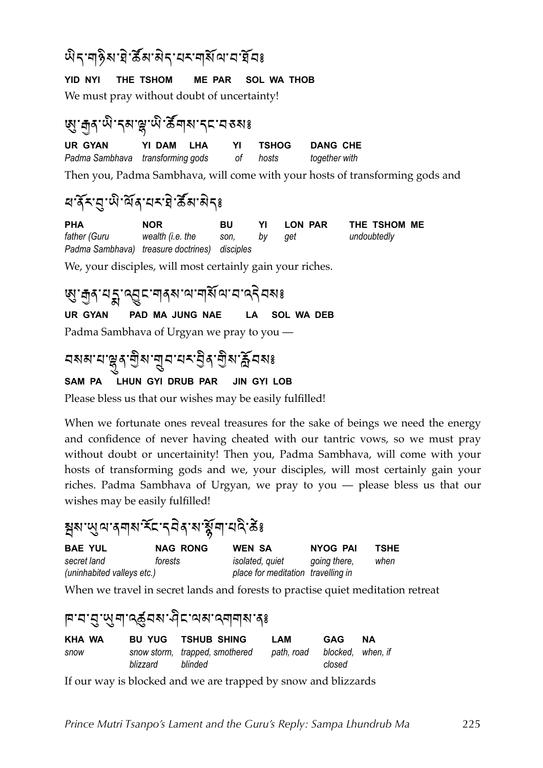#### พิราๆชิม ยิ ซึมามิรายรายสัญนา

#### **YID NYI THE TSHOM ME PAR SOL WA THOB**

We must pray without doubt of uncertainty!

### ซู : สู สุ : พิ : รุส : ผู : พิ : สั สุ ส : รุ ธ : ส ส ม ร

**UR GYAN YI DAM LHA YI TSHOG DANG CHE** *Padma Sambhava transforming gods of hosts together with*

Then you, Padma Sambhava, will come with your hosts of transforming gods and

#### ส.สัมพริการ 3 สิง

**PHA NOR BU YI LON PAR THE TSHOM ME** *father (Guru wealth (i.e. the son, by get undoubtedly Padma Sambhava) treasure doctrines) disciples*

We, your disciples, will most certainly gain your riches.

### 'ଷ୍ଡ' मुद्र' असु दान देखा आज्ञा अर्था मार्के स्वरुप्त का अर्थ का अर्थ का अर्थ का अर्थ का अर्थ का अर्थ का अर्थ क

**UR GYAN PAD MA JUNG NAE LA SOL WA DEB**

Padma Sambhava of Urgyan we pray to you —

### <u> </u><br>মমম'থ'ঙ্কুৰ'শ্ৰীম'নুম'থম'ট্ৰৰ'শ্ৰীম'ৰ্ক্লিমমঃ

#### **SAM PA LHUN GYI DRUB PAR JIN GYI LOB**

Please bless us that our wishes may be easily fulfilled!

When we fortunate ones reveal treasures for the sake of beings we need the energy and confidence of never having cheated with our tantric vows, so we must pray without doubt or uncertainity! Then you, Padma Sambhava, will come with your hosts of transforming gods and we, your disciples, will most certainly gain your riches. Padma Sambhava of Urgyan, we pray to you — please bless us that our wishes may be easily fulfilled!

#### สมพูด วศุพรัตรุอิสุ มารู้ศุ นจิ 3

| <b>BAE YUL</b>             | <b>NAG RONG</b> | <b>WEN SA</b>                      | NYOG PAI     | TSHE |
|----------------------------|-----------------|------------------------------------|--------------|------|
| secret land                | forests         | <i>isolated, quiet</i>             | going there, | when |
| (uninhabited valleys etc.) |                 | place for meditation travelling in |              |      |

When we travel in secret lands and forests to practise quiet meditation retreat

#### ฅ<sup>ฺ</sup>๚ๅ๚ฺ๚ๅ๛฿๎๚๚๚๚๚๚๚๚๚๚๚๚๚๚๚๚๚๚๚๚๚๚๚๚๚๚๚๚๚

| KHA WA |          | <b>BU YUG TSHUB SHING</b>                 | LAM                          | GAG    | NΑ |
|--------|----------|-------------------------------------------|------------------------------|--------|----|
| snow   | blizzard | snow storm, trapped, smothered<br>blinded | path, road blocked, when, if | closed |    |

If our way is blocked and we are trapped by snow and blizzards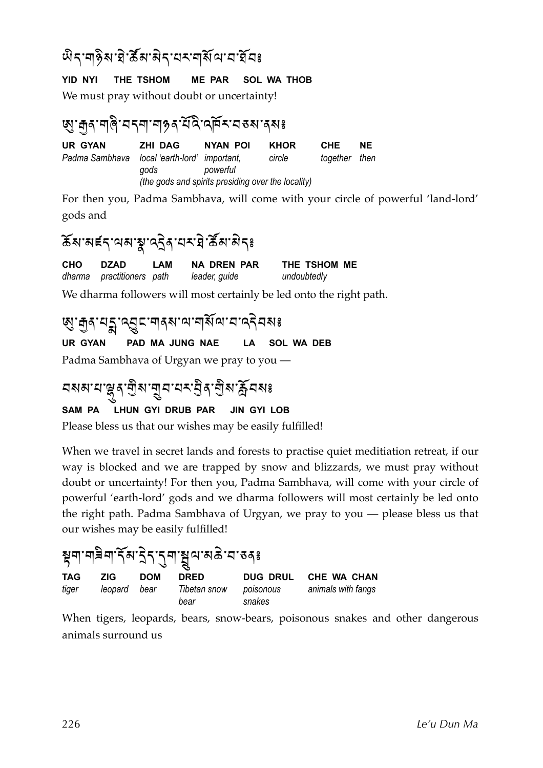#### พิราๆ§ิ่ม ฮิ ซึส'สิรายรายุสัตวราชียร

#### **YID NYI THE TSHOM ME PAR SOL WA THOB**

We must pray without doubt or uncertainty!

#### জ্য:নব্দীৰ বৰ্ণা নাইৰ বুদ্ধ প্ৰতি বেশ কৰাৰ স

**UR GYAN ZHI DAG NYAN POI KHOR CHE NE** *Padma Sambhava local 'earth-lord' important, circle together then gods powerful (the gods and spirits presiding over the locality)*

For then you, Padma Sambhava, will come with your circle of powerful 'land-lord' gods and

#### สัมพรราผมพูนธุริยุ สรรมิตระ

**CHO DZAD LAM NA DREN PAR THE TSHOM ME** *dharma practitioners path leader, guide undoubtedly*

We dharma followers will most certainly be led onto the right path.

ซู : สู สฺ : สฺ รู : สฺ ธุ : สฺ สฺ สฺ : สฺ สฺ สฺ สฺ สฺ สฺ สฺ สฺ สฺ

**UR GYAN PAD MA JUNG NAE LA SOL WA DEB**

Padma Sambhava of Urgyan we pray to you —

### <u>নমম'ম'ঙ্</u>লুৰ'শ্ৰীম'শ্ৰুন'মক'ষ্ট্ৰৰ'শ্ৰীম'ৰ্ক্লনমঃ

#### **SAM PA LHUN GYI DRUB PAR JIN GYI LOB**

Please bless us that our wishes may be easily fulfilled!

When we travel in secret lands and forests to practise quiet meditiation retreat, if our way is blocked and we are trapped by snow and blizzards, we must pray without doubt or uncertainty! For then you, Padma Sambhava, will come with your circle of powerful 'earth-lord' gods and we dharma followers will most certainly be led onto the right path. Padma Sambhava of Urgyan, we pray to you — please bless us that our wishes may be easily fulfilled!

| <sub>ឨ</sub> ๚๚ <sub>๎</sub> ๚๚๚๚๚๚๚๚๚๚๚๚๚๚๚๚๚๚๚๚๚ |            |            |                      |                     |                      |  |
|----------------------------------------------------|------------|------------|----------------------|---------------------|----------------------|--|
| TAG                                                | <b>ZIG</b> | <b>DOM</b> | <b>DRED</b>          |                     | DUG DRUL CHE WA CHAN |  |
| tiger                                              | leopard    | bear       | Tibetan snow<br>bear | poisonous<br>snakes | animals with fangs   |  |

When tigers, leopards, bears, snow-bears, poisonous snakes and other dangerous animals surround us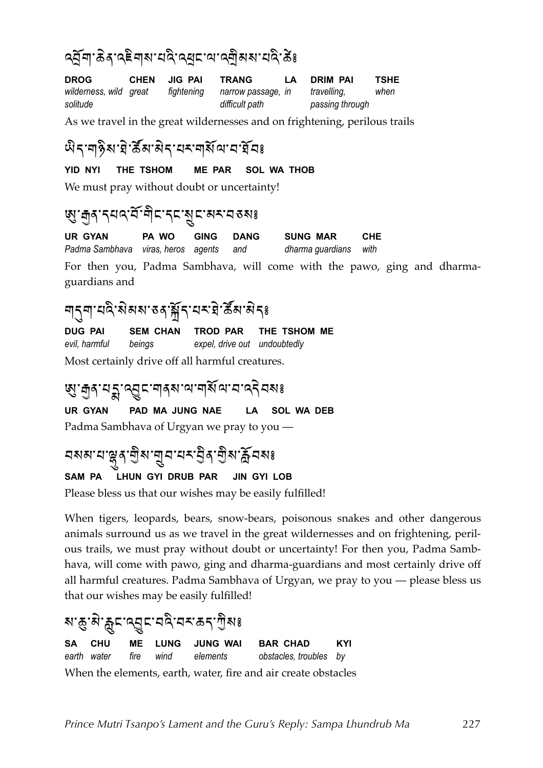#### <u>ู คลั</u>ยา ซิล เปลี่ยน สาราง เช่น เช่น สาราง 5%

**DROG CHEN JIG PAI TRANG LA DRIM PAI TSHE** *wilderness, wild great fightening narrow passage, in travelling, when solitude difficult path passing through*

As we travel in the great wildernesses and on frightening, perilous trails

#### พิราๆชิม ยิ ซึม สิรายรายสัญนา

#### **YID NYI THE TSHOM ME PAR SOL WA THOB**

We must pray without doubt or uncertainty!

#### เพู : สู ส : รุ ผ ส : ส ส : ส ส : ส ส : ส ส ะ ส ส ะ

**UR GYAN PA WO GING DANG SUNG MAR CHE** *Padma Sambhava viras, heros agents and dharma guardians with*

For then you, Padma Sambhava, will come with the pawo, ging and dharmaguardians and

#### ๆรุๆ ผจิลมางงาติรายราชิสหลรุ

**DUG PAI SEM CHAN TROD PAR THE TSHOM ME** *evil, harmful beings expel, drive out undoubtedly*

Most certainly drive off all harmful creatures.

#### . छु: तुद् पट्टू दानद्वाया नक्षित्र व दिन

**UR GYAN PAD MA JUNG NAE LA SOL WA DEB** Padma Sambhava of Urgyan we pray to you —

## <mark>¤মন্স'ম'ঞ্</mark>লব'মুম'মন্দ্ৰ'মুখ'ৰ্ক্লমুখ'ৰ্ক্লমুখ

#### **SAM PA LHUN GYI DRUB PAR JIN GYI LOB**

Please bless us that our wishes may be easily fulfilled!

When tigers, leopards, bears, snow-bears, poisonous snakes and other dangerous animals surround us as we travel in the great wildernesses and on frightening, perilous trails, we must pray without doubt or uncertainty! For then you, Padma Sambhava, will come with pawo, ging and dharma-guardians and most certainly drive off all harmful creatures. Padma Sambhava of Urgyan, we pray to you — please bless us that our wishes may be easily fulfilled!

#### "%=<%,(%Y\*;%&ML;%)&4%):%='%\4"` **SA CHU ME LUNG JUNG WAI BAR CHAD KYI** *earth water fire wind elements obstacles, troubles by*

When the elements, earth, water, fire and air create obstacles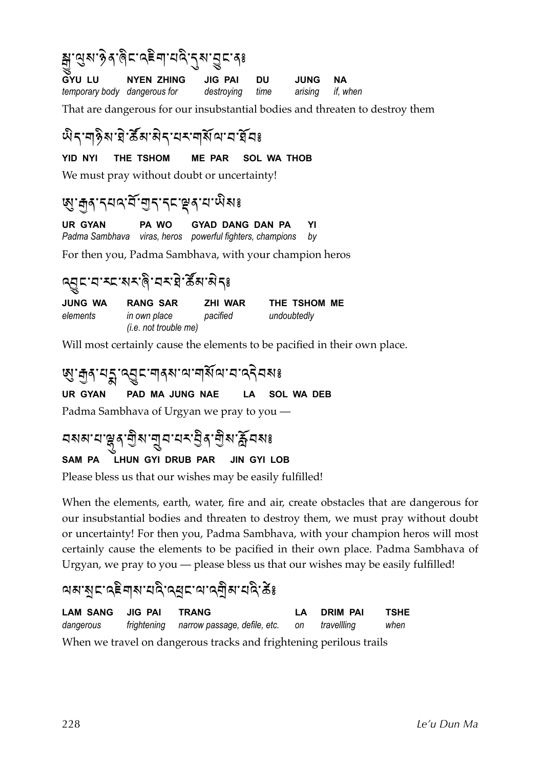|                              | ક્યું ભુષ્ય છેત્ર <sub>ઊ</sub> ંદ વ <sup>≧</sup> વા ઘવે તુષ્ય ગ્રુદ ત <sub>8</sub> |                            |    |                                 |    |  |
|------------------------------|------------------------------------------------------------------------------------|----------------------------|----|---------------------------------|----|--|
| temporary body dangerous for | GYU LU NYEN ZHING                                                                  | JIG PAI<br>destroying time | DU | <b>JUNG</b><br>arising if, when | NА |  |
|                              | That are dangerous for our insubstantial bodies and threaten to destroy them       |                            |    |                                 |    |  |

#### พิรา<sub></sub>ศุริมาสิรามราศสัตวราชี

#### **YID NYI THE TSHOM ME PAR SOL WA THOB**

We must pray without doubt or uncertainty!

#### 'ผู'สุส'รุผจ'ลั'ฮูรฺ'รุผ<sub>ิ์</sub>สุ'ม'พิมะ

**UR GYAN PA WO GYAD DANG DAN PA YI** *Padma Sambhava viras, heros powerful fighters, champions by*

For then you, Padma Sambhava, with your champion heros

#### ดสุราสารสาสิง สิง

| JUNG WA  | <b>RANG SAR</b>                | ZHI WAR  | THE TSHOM ME |
|----------|--------------------------------|----------|--------------|
| elements | in own place                   | pacified | undoubtedly  |
|          | ( <i>i.e. not trouble me</i> ) |          |              |

Will most certainly cause the elements to be pacified in their own place.

#### . छु : मुद् : प्युद् दानद् अ वा नार्थ वा नार्द नक्ष

**UR GYAN PAD MA JUNG NAE LA SOL WA DEB**

Padma Sambhava of Urgyan we pray to you —

# মমন'ম'ঞ্জুৰ'শ্ৰীম'শ্ৰুম'ম্প'ৰ্টম'ৰ্ক্লমৰঃ

#### **SAM PA LHUN GYI DRUB PAR JIN GYI LOB**

Please bless us that our wishes may be easily fulfilled!

When the elements, earth, water, fire and air, create obstacles that are dangerous for our insubstantial bodies and threaten to destroy them, we must pray without doubt or uncertainty! For then you, Padma Sambhava, with your champion heros will most certainly cause the elements to be pacified in their own place. Padma Sambhava of Urgyan, we pray to you — please bless us that our wishes may be easily fulfilled!

#### <u>ู</u> ผม:สูธ:สุธิสุสามาตุ หารณ์ หาร์ พระ

**LAM SANG JIG PAI TRANG LA DRIM PAI TSHE** *dangerous frightening narrow passage, defile, etc. on travellling when* When we travel on dangerous tracks and frightening perilous trails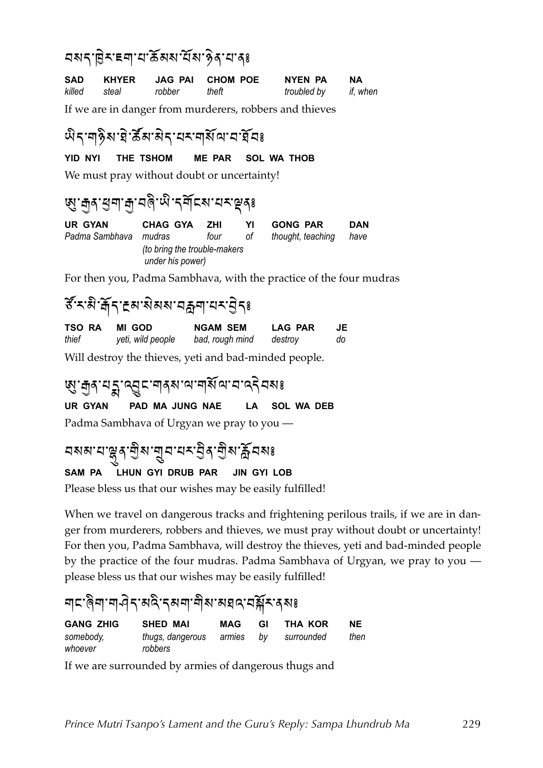#### )"'%B(:%V!%E%=#,"%E#"%x(+%E%+`

| SAD          | KHYER |        | JAG PAI CHOM POE | NYEN PA     | NA       |
|--------------|-------|--------|------------------|-------------|----------|
| killed steal |       | robber | theft            | troubled by | if, when |

If we are in danger from murderers, robbers and thieves

#### พิราๆชิม ยิ ซึม สิรายรายสัตวราชียร

#### **YID NYI THE TSHOM ME PAR SOL WA THOB**

We must pray without doubt or uncertainty!

#### <u>'</u> छु: नुद युवा नु: यब्दे पे: दर्वोद्य: यद्दूदृश्

| UR GYAN                                          | CHAG GYA | -ZHI | YI   | <b>GONG PAR</b>   | DAN  |
|--------------------------------------------------|----------|------|------|-------------------|------|
| Padma Sambhava mudras                            |          | four | ot a | thought, teaching | have |
| (to bring the trouble-makers<br>under his power) |          |      |      |                   |      |

For then you, Padma Sambhava, with the practice of the four mudras

### ิธัระมิ:สัร: Eล สมสม สุล แนร: 35%

| TSO RA | MI GOD            | <b>NGAM SEM</b> | <b>LAG PAR</b> | JE. |
|--------|-------------------|-----------------|----------------|-----|
| thief  | yeti, wild people | bad, rough mind | destroy        | do  |

Will destroy the thieves, yeti and bad-minded people.

### छु : मुद् :यू दु द्वाद् ना दुस : या वर्षि व्याद्य दि वसः

**UR GYAN PAD MA JUNG NAE LA SOL WA DEB**

Padma Sambhava of Urgyan we pray to you —

## <u> </u><br>মমম'থ'ঙ্কুৰ'শ্ৰীম'শ্ৰুম'ধৰ্ম'ষ্ট্ৰৰ'শ্ৰীম'ৰ্ক্লিমমঃ

#### **SAM PA LHUN GYI DRUB PAR JIN GYI LOB**

Please bless us that our wishes may be easily fulfilled!

When we travel on dangerous tracks and frightening perilous trails, if we are in danger from murderers, robbers and thieves, we must pray without doubt or uncertainty! For then you, Padma Sambhava, will destroy the thieves, yeti and bad-minded people by the practice of the four mudras. Padma Sambhava of Urgyan, we pray to you please bless us that our wishes may be easily fulfilled!

#### <u>๚ะหลินเช่า ย่าง หรือผู้ทางที่สารสุดา</u>

| <b>GANG ZHIG</b>     | <b>SHED MAI</b>                    | MAG | GI | THA KOR      | <b>NE</b> |
|----------------------|------------------------------------|-----|----|--------------|-----------|
| somebody,<br>whoever | thugs, dangerous armies<br>robbers |     | bv | ' surrounded | then      |

If we are surrounded by armies of dangerous thugs and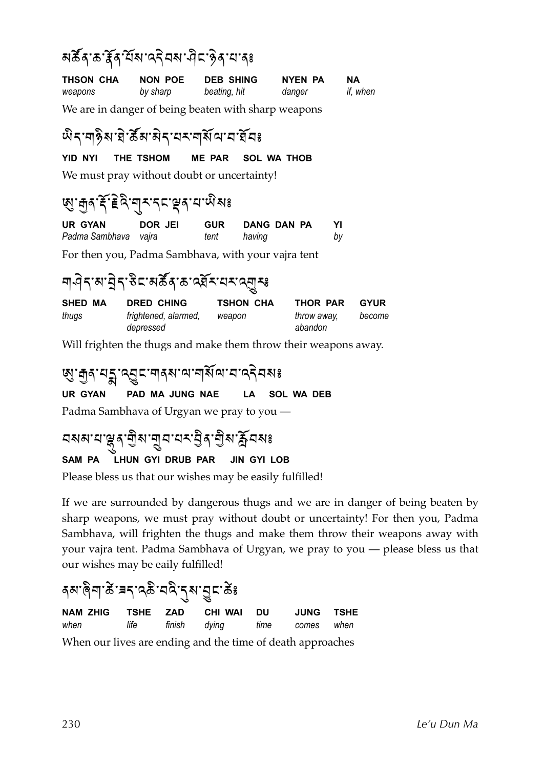#### สสัสหัสหลุสมหาริตราสะ

| THSON CHA | NON POE  | <b>DEB SHING</b> | NYEN PA | NА       |
|-----------|----------|------------------|---------|----------|
| weapons   | by sharp | beating, hit     | danger  | if, when |

We are in danger of being beaten with sharp weapons

#### พิราๆชิม ยิ ซึม สิรายรายสัตวราชีย

**YID NYI THE TSHOM ME PAR SOL WA THOB**

We must pray without doubt or uncertainty!

#### T<%9+%lN%G(&4%!\*:%';%i+%E%H4"`

| UR GYAN              | DOR JEI | <b>GUR</b> | DANG DAN PA | YI |
|----------------------|---------|------------|-------------|----|
| Padma Sambhava vajra |         | tent       | having      | by |

For then you, Padma Sambhava, with your vajra tent

#### ๆ ๆ ๆ รามา ๆ ราช ธิ ธาร สังหาร จะ สุราช ธุร

| SHED MA | DRED CHING           | TSHON CHA | THOR PAR    | <b>GYUR</b> |
|---------|----------------------|-----------|-------------|-------------|
| thugs   | frightened, alarmed, | weapon    | throw away, | become      |
|         | depressed            |           | abandon     |             |

Will frighten the thugs and make them throw their weapons away.

#### **เผู** : สุด : ผรู : ผู ธ : ศุดพาน: ศุดิ : ผู ร : ผู สุด ร

**UR GYAN PAD MA JUNG NAE LA SOL WA DEB**

Padma Sambhava of Urgyan we pray to you —

#### মমম'ম'ঞ্জব'শ্ৰীম'নুম'মম্ভ্ৰীৰ'শ্ৰীম'ৰ্ক্লিমমঃ **SAM PA LHUN GYI DRUB PAR JIN GYI LOB**

Please bless us that our wishes may be easily fulfilled!

If we are surrounded by dangerous thugs and we are in danger of being beaten by sharp weapons, we must pray without doubt or uncertainty! For then you, Padma Sambhava, will frighten the thugs and make them throw their weapons away with your vajra tent. Padma Sambhava of Urgyan, we pray to you — please bless us that our wishes may be eaily fulfilled!

### รม ดิต ซิ ะ รุ เวลิ : สุล : สุรา ซิ ะ

|  | NAM ZHIG TSHE ZAD CHI WAI DU                                   | <b>JUNG TSHE</b> |  |
|--|----------------------------------------------------------------|------------------|--|
|  | when <b>that if the montanagement interpretation</b> when when |                  |  |
|  | When our lives are ending and the time of death approaches     |                  |  |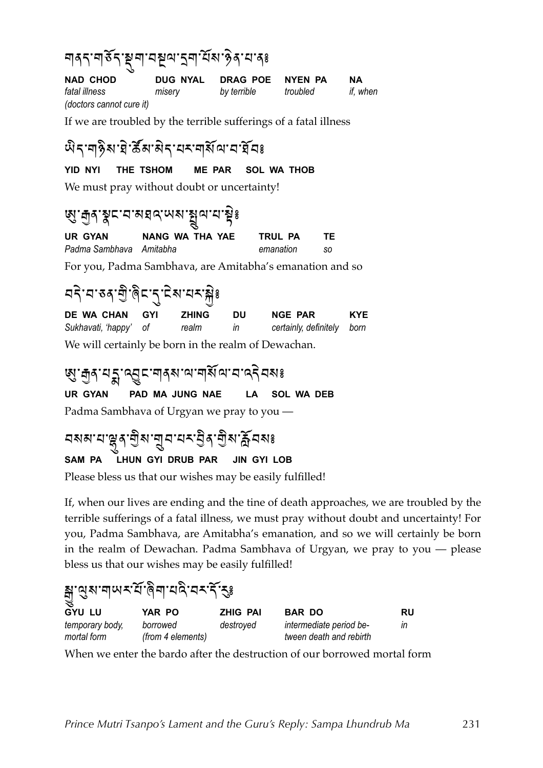| <u>๚</u> ๑ฺรฺॱ๚ <sup>ร</sup> รฺ สุ๚ ฯสุผ ร๚ นั่ง วิจฺ ฯ ฯ ៖ |        |                           |          |          |  |  |  |
|-------------------------------------------------------------|--------|---------------------------|----------|----------|--|--|--|
| <b>NAD CHOD</b>                                             |        | DUG NYAL DRAG POE NYEN PA |          | NА       |  |  |  |
| fatal illness                                               | misery | by terrible               | troubled | if, when |  |  |  |
| (doctors cannot cure it)                                    |        |                           |          |          |  |  |  |

If we are troubled by the terrible sufferings of a fatal illness

#### พิราๆชิม ยิ ซึม สิรายรายสัญนา

#### **YID NYI THE TSHOM ME PAR SOL WA THOB**

We must pray without doubt or uncertainty!

### জ্য ক্ৰীৰ ষ্কৃৎ নে সম্বন্দ প্ৰায় স্কুঃ

**UR GYAN NANG WA THA YAE TRUL PA TE** *Padma Sambhava Amitabha emanation so*

For you, Padma Sambhava, are Amitabha's emanation and so

#### | ผริ'ผ'ชสฺ' ตู๊' ตุ๊ะ'ฺฺรุ' นิส' ผ×ามิ<sup>รู</sup>

**DE WA CHAN GYI ZHING DU NGE PAR KYE** *Sukhavati, 'happy' of realm in certainly, definitely born* We will certainly be born in the realm of Dewachan.

#### . छु: मुद् य पू द् द् द् द् द् द् ना देखा वा द् द् त्र दे वहार स्वर्

**UR GYAN PAD MA JUNG NAE LA SOL WA DEB** Padma Sambhava of Urgyan we pray to you —

# বমম'য'ঞ্লুৰ'শ্ৰীম'নুব'যম'ণ্ডীৰ'শ্ৰীম'ৰ্ক্লবমঃ

#### **SAM PA LHUN GYI DRUB PAR JIN GYI LOB**

Please bless us that our wishes may be easily fulfilled!

If, when our lives are ending and the tine of death approaches, we are troubled by the terrible sufferings of a fatal illness, we must pray without doubt and uncertainty! For you, Padma Sambhava, are Amitabha's emanation, and so we will certainly be born in the realm of Dewachan. Padma Sambhava of Urgyan, we pray to you — please bless us that our wishes may be easily fulfilled!

#### ้ ส : ดู ม : ๆ พ x นี : ดิ ๆ : ม ฉ : ว x หิ : รูะ **GYU LU YAR PO ZHIG PAI BAR DO RU** *temporary body, borrowed destroyed intermediate period be- in mortal form (from 4 elements) tween death and rebirth*

When we enter the bardo after the destruction of our borrowed mortal form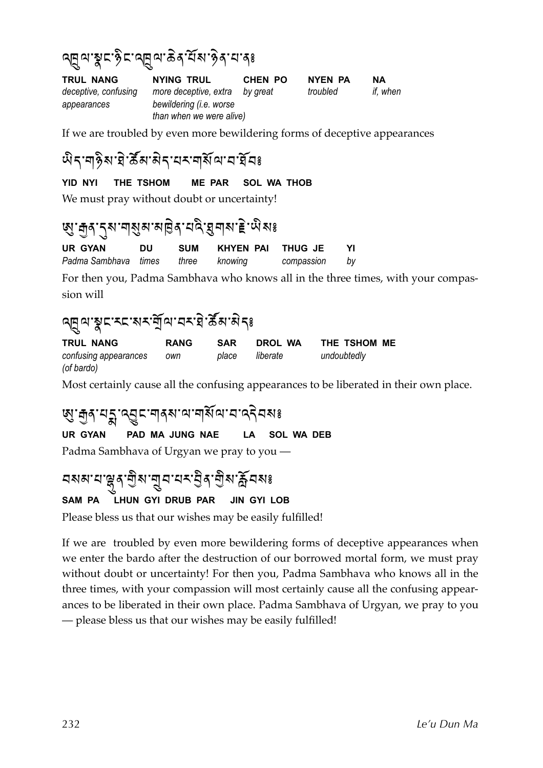#### ดศูตารูเราชิราดศูตาลิสุ นั่ง ชิรายารุะ

**TRUL NANG NYING TRUL CHEN PO NYEN PA NA** *deceptive, confusing more deceptive, extra by great troubled if, when appearances bewildering (i.e. worse than when we were alive)*

If we are troubled by even more bewildering forms of deceptive appearances

#### พิราๆ จิส' มิ รัส' มิรายรายุสัตวราชิยร

**YID NYI THE TSHOM ME PAR SOL WA THOB**

We must pray without doubt or uncertainty!

### 'ଷ୍ଠ' নৰ 'বৰ' শৰ্মুন' নাটৰ 'বৰ্ম' আৰু 'ই' অনঃ

**UR GYAN DU SUM KHYEN PAI THUG JE YI** *Padma Sambhava times three knowing compassion by*

For then you, Padma Sambhava who knows all in the three times, with your compassion will

### ดศูตามูรารราช รัฐ ตามราชิก รัฐ พระ

**TRUL NANG RANG SAR DROL WA THE TSHOM ME** *confusing appearances own place liberate undoubtedly (of bardo)* 

Most certainly cause all the confusing appearances to be liberated in their own place.

#### **छु: मुद् यङ्गु द्युद्दा ना वह्य स्वाद् विका**

**UR GYAN PAD MA JUNG NAE LA SOL WA DEB**

Padma Sambhava of Urgyan we pray to you —

### <u>নমম'ম'ল্লুৰ'লীম'নুম'মম্'ইৰ'লীম'ৰ্ক্ল</u>মমঃ

#### **SAM PA LHUN GYI DRUB PAR JIN GYI LOB**

Please bless us that our wishes may be easily fulfilled!

If we are troubled by even more bewildering forms of deceptive appearances when we enter the bardo after the destruction of our borrowed mortal form, we must pray without doubt or uncertainty! For then you, Padma Sambhava who knows all in the three times, with your compassion will most certainly cause all the confusing appearances to be liberated in their own place. Padma Sambhava of Urgyan, we pray to you — please bless us that our wishes may be easily fulfilled!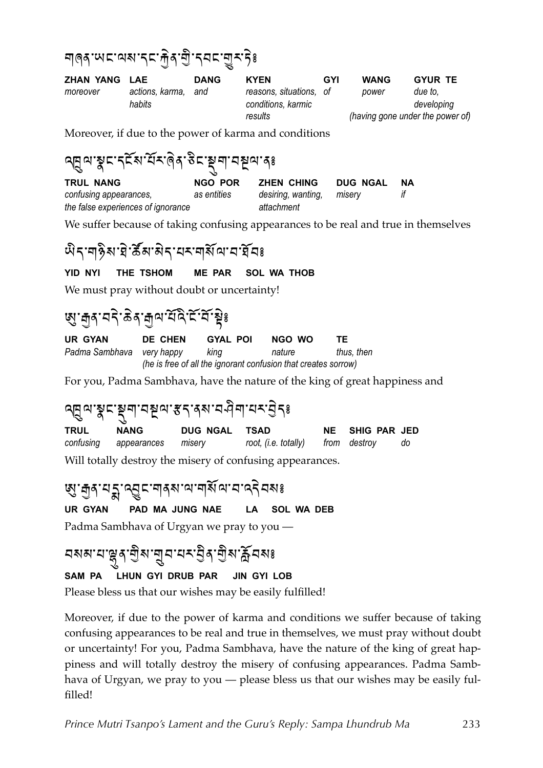

| ZHAN YANG LAE |                           | <b>DANG</b> | <b>KYEN</b>                                   | GYI | <b>WANG</b> | <b>GYUR TE</b>                   |
|---------------|---------------------------|-------------|-----------------------------------------------|-----|-------------|----------------------------------|
| moreover      | actions, karma,<br>habits | and         | reasons, situations, of<br>conditions, karmic |     | power       | due to.<br>developing            |
|               |                           |             | results                                       |     |             | (having gone under the power of) |

Moreover, if due to the power of karma and conditions

| $\mathbb{E}$ ہی ہے کہ اب کیا ہے کہ ایک رہی ہے میں کیا ہے۔ |             |                    |             |  |
|-----------------------------------------------------------|-------------|--------------------|-------------|--|
| <b>TRUL NANG</b>                                          | NGO POR     | <b>ZHEN CHING</b>  | DUG NGAL NA |  |
| confusing appearances,                                    | as entities | desiring, wanting, | miserv      |  |
| the false experiences of ignorance                        |             | attachment         |             |  |

We suffer because of taking confusing appearances to be real and true in themselves

#### <u>พิราสุริสาสิราสราสุสัญ</u>ราชีสะ

 $OPTOITIITIETETIITIITIBTIITIITIITI$ 

#### **YID NYI** THE TSHOM **ME PAR SOL WA THOB**

We must pray without doubt or uncertainty!

#### ড়ৢ*ॱ*ਜ਼ঌॱঀঽ৾৾৾৽ঀৼ৾৸ড়৽ঢ়৻ড়৻ৼ৻ৼ৻ৼ৾

| UR GYAN                   | <b>DE CHEN</b>                                                 | <b>GYAL POI</b> | NGO WO | TF.        |  |  |
|---------------------------|----------------------------------------------------------------|-----------------|--------|------------|--|--|
| Padma Sambhava very happy |                                                                | kina            | nature | thus, then |  |  |
|                           | (he is free of all the ignorant confusion that creates sorrow) |                 |        |            |  |  |

For you, Padma Sambhava, have the nature of the king of great happiness and

### ดศูตาฐธรุฑารชุตารรางจามคิฑายราธิระ

| <b>TRUL</b> | <b>NANG</b>                  | DUG NGAL TSAD |                                   | NE SHIG PAR JED |    |
|-------------|------------------------------|---------------|-----------------------------------|-----------------|----|
|             | confusing appearances misery |               | root, (i.e. totally) from destroy |                 | do |

Will totally destroy the misery of confusing appearances.

### **ฬ. มิ**รฺ สรี เรือะเประเทศ มี ส. ส. สรี สะ

**UR GYAN** PAD MA JUNG NAE LA SOL WA DEB

Padma Sambhava of Urgyan we pray to you —

### 

#### LHUN GYI DRUB PAR SAM PA **JIN GYI LOB**

Please bless us that our wishes may be easily fulfilled!

Moreover, if due to the power of karma and conditions we suffer because of taking confusing appearances to be real and true in themselves, we must pray without doubt or uncertainty! For you, Padma Sambhava, have the nature of the king of great happiness and will totally destroy the misery of confusing appearances. Padma Sambhava of Urgyan, we pray to you - please bless us that our wishes may be easily fulfilled!